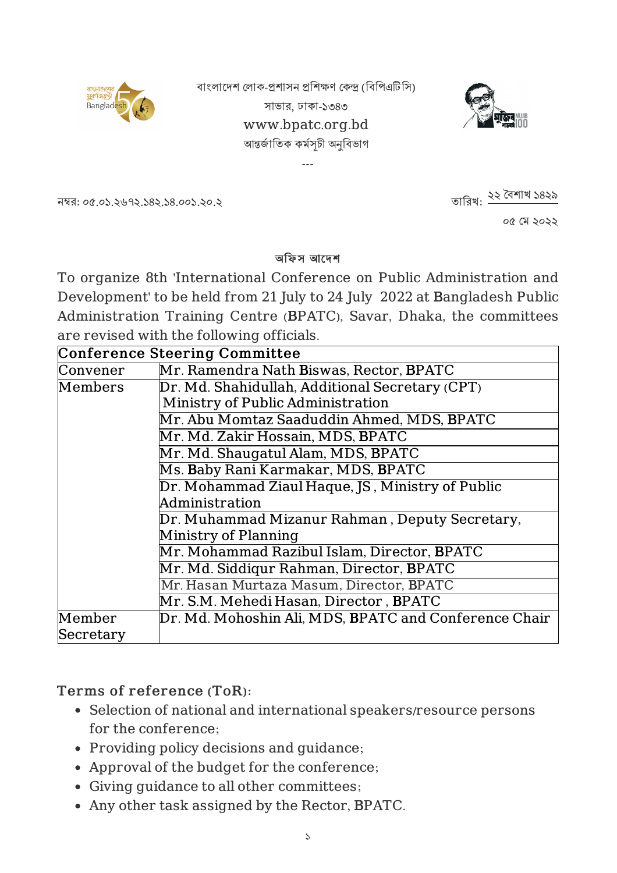

বাংলাদেশ লোক-প্ৰশাসন প্ৰশিক্ষণ কেন্দ্ৰ (বিপিএটিসি) সাভার, ঢাকা-১৩৪৩ www.bpatc.org.bd আন্তৰ্জাতিক কৰ্মসূচী অনুবিভাগ

---



নম্বর: ০৫.০১.২৬৭২.১৪২.১৪.০০১.২০.২

তারিখ: ২২ বৈশাখ ১৪২৯

০৫ ম ২০২২

#### অফিস আদেশ

To organize 8th 'International Conference on Public Administration and Development' to be held from 21 July to 24 July 2022 at Bangladesh Public Administration Training Centre (BPATC), Savar, Dhaka, the committees are revised with the following officials.

| <b>Conference Steering Committee</b> |                                                                                      |  |  |
|--------------------------------------|--------------------------------------------------------------------------------------|--|--|
| Convener                             | Mr. Ramendra Nath Biswas, Rector, BPATC                                              |  |  |
| Members                              | Dr. Md. Shahidullah, Additional Secretary (CPT)<br>Ministry of Public Administration |  |  |
|                                      |                                                                                      |  |  |
|                                      | Mr. Abu Momtaz Saaduddin Ahmed, MDS, BPATC                                           |  |  |
|                                      | Mr. Md. Zakir Hossain, MDS, BPATC                                                    |  |  |
|                                      | Mr. Md. Shaugatul Alam, MDS, BPATC                                                   |  |  |
|                                      | Ms. Baby Rani Karmakar, MDS, BPATC                                                   |  |  |
|                                      | Dr. Mohammad Ziaul Haque, JS, Ministry of Public                                     |  |  |
|                                      | Administration                                                                       |  |  |
|                                      | Dr. Muhammad Mizanur Rahman, Deputy Secretary,                                       |  |  |
|                                      | Ministry of Planning                                                                 |  |  |
|                                      | Mr. Mohammad Razibul Islam, Director, BPATC                                          |  |  |
|                                      | Mr. Md. Siddigur Rahman, Director, BPATC                                             |  |  |
|                                      | Mr. Hasan Murtaza Masum, Director, BPATC                                             |  |  |
|                                      | Mr. S.M. Mehedi Hasan, Director , BPATC                                              |  |  |
| Member                               | Dr. Md. Mohoshin Ali, MDS, BPATC and Conference Chair                                |  |  |
| Secretary                            |                                                                                      |  |  |

### Terms of reference (ToR):

- Selection of national and international speakers/resource persons for the conference;
- Providing policy decisions and guidance;
- Approval of the budget for the conference;
- Giving guidance to all other committees;
- Any other task assigned by the Rector, BPATC.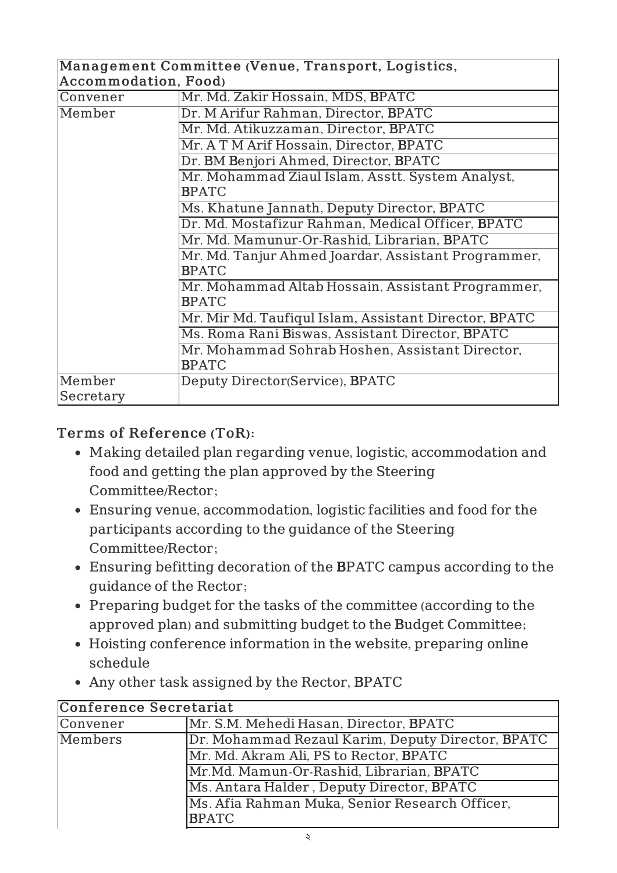| Management Committee (Venue, Transport, Logistics, |                                                                     |  |  |
|----------------------------------------------------|---------------------------------------------------------------------|--|--|
| <b>Accommodation, Food)</b>                        |                                                                     |  |  |
| Convener                                           | Mr. Md. Zakir Hossain, MDS, BPATC                                   |  |  |
| Member                                             | Dr. M Arifur Rahman, Director, BPATC                                |  |  |
|                                                    | Mr. Md. Atikuzzaman, Director, BPATC                                |  |  |
|                                                    | Mr. A T M Arif Hossain, Director, BPATC                             |  |  |
|                                                    | Dr. BM Benjori Ahmed, Director, BPATC                               |  |  |
|                                                    | Mr. Mohammad Ziaul Islam, Asstt. System Analyst,<br><b>BPATC</b>    |  |  |
|                                                    | Ms. Khatune Jannath, Deputy Director, BPATC                         |  |  |
|                                                    | Dr. Md. Mostafizur Rahman, Medical Officer, BPATC                   |  |  |
|                                                    | Mr. Md. Mamunur-Or-Rashid, Librarian, BPATC                         |  |  |
|                                                    | Mr. Md. Tanjur Ahmed Joardar, Assistant Programmer,<br><b>BPATC</b> |  |  |
|                                                    | Mr. Mohammad Altab Hossain, Assistant Programmer,<br><b>BPATC</b>   |  |  |
|                                                    | Mr. Mir Md. Taufiqul Islam, Assistant Director, BPATC               |  |  |
|                                                    | Ms. Roma Rani Biswas, Assistant Director, BPATC                     |  |  |
|                                                    | Mr. Mohammad Sohrab Hoshen, Assistant Director,                     |  |  |
|                                                    | <b>BPATC</b>                                                        |  |  |
| Member                                             | Deputy Director(Service), BPATC                                     |  |  |
| Secretary                                          |                                                                     |  |  |

- Making detailed plan regarding venue, logistic, accommodation and food and getting the plan approved by the Steering Committee/Rector;
- Ensuring venue, accommodation, logistic facilities and food for the participants according to the guidance of the Steering Committee/Rector;
- Ensuring befitting decoration of the BPATC campus according to the guidance of the Rector;
- Preparing budget for the tasks of the committee (according to the approved plan) and submitting budget to the Budget Committee;
- Hoisting conference information in the website, preparing online schedule
- Any other task assigned by the Rector, BPATC

| Conference Secretariat                                                                |                                                   |  |
|---------------------------------------------------------------------------------------|---------------------------------------------------|--|
| Convener                                                                              | Mr. S.M. Mehedi Hasan, Director, BPATC            |  |
| Members                                                                               | Dr. Mohammad Rezaul Karim, Deputy Director, BPATC |  |
|                                                                                       | Mr. Md. Akram Ali, PS to Rector, BPATC            |  |
| Mr.Md. Mamun-Or-Rashid, Librarian, BPATC<br>Ms. Antara Halder, Deputy Director, BPATC |                                                   |  |
|                                                                                       |                                                   |  |
|                                                                                       | <b>BPATC</b>                                      |  |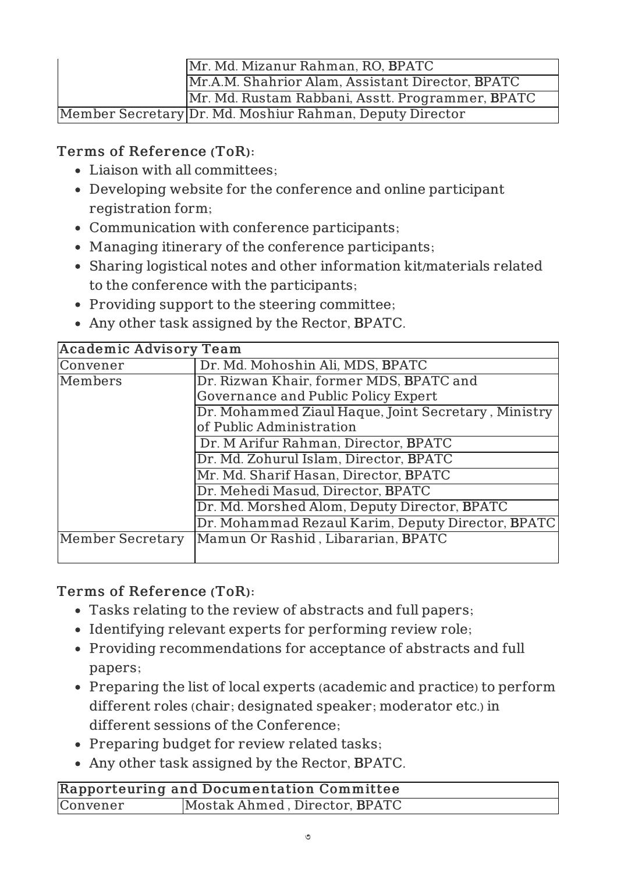| Mr. Md. Mizanur Rahman, RO, BPATC                |                                                          |
|--------------------------------------------------|----------------------------------------------------------|
| Mr.A.M. Shahrior Alam, Assistant Director, BPATC |                                                          |
|                                                  | Mr. Md. Rustam Rabbani, Asstt. Programmer, BPATC         |
|                                                  | Member Secretary Dr. Md. Moshiur Rahman, Deputy Director |

- Liaison with all committees;
- Developing website for the conference and online participant registration form;
- Communication with conference participants;
- Managing itinerary of the conference participants;
- Sharing logistical notes and other information kit/materials related to the conference with the participants;
- Providing support to the steering committee;
- Any other task assigned by the Rector, BPATC.

| <b>Academic Advisory Team</b>                       |  |
|-----------------------------------------------------|--|
| Dr. Md. Mohoshin Ali, MDS, BPATC                    |  |
| Dr. Rizwan Khair, former MDS, BPATC and             |  |
| Governance and Public Policy Expert                 |  |
| Dr. Mohammed Ziaul Haque, Joint Secretary, Ministry |  |
| of Public Administration                            |  |
| Dr. M Arifur Rahman, Director, BPATC                |  |
| Dr. Md. Zohurul Islam, Director, BPATC              |  |
| Mr. Md. Sharif Hasan, Director, BPATC               |  |
| Dr. Mehedi Masud, Director, BPATC                   |  |
| Dr. Md. Morshed Alom, Deputy Director, BPATC        |  |
| Dr. Mohammad Rezaul Karim, Deputy Director, BPATC   |  |
| Mamun Or Rashid, Libararian, BPATC                  |  |
|                                                     |  |

# Terms of Reference (ToR):

- Tasks relating to the review of abstracts and full papers;
- Identifying relevant experts for performing review role;
- Providing recommendations for acceptance of abstracts and full papers;
- Preparing the list of local experts (academic and practice) to perform different roles (chair; designated speaker; moderator etc.) in different sessions of the Conference;
- Preparing budget for review related tasks;
- Any other task assigned by the Rector, BPATC.

| Rapporteuring and Documentation Committee |                               |  |
|-------------------------------------------|-------------------------------|--|
| Convener                                  | Mostak Ahmed, Director, BPATC |  |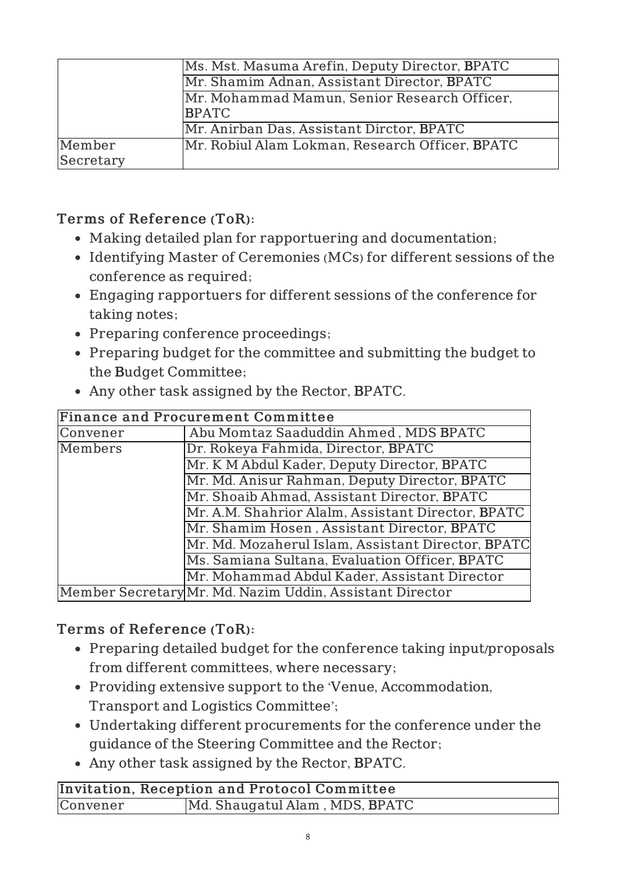|                                              | Ms. Mst. Masuma Arefin, Deputy Director, BPATC  |
|----------------------------------------------|-------------------------------------------------|
|                                              | Mr. Shamim Adnan, Assistant Director, BPATC     |
| Mr. Mohammad Mamun, Senior Research Officer, |                                                 |
| <b>BPATC</b>                                 |                                                 |
|                                              | Mr. Anirban Das, Assistant Dirctor, BPATC       |
| Member                                       | Mr. Robiul Alam Lokman, Research Officer, BPATC |
| Secretary                                    |                                                 |

- Making detailed plan for rapportuering and documentation;
- Identifying Master of Ceremonies (MCs) for different sessions of the conference as required;
- Engaging rapportuers for different sessions of the conference for taking notes;
- Preparing conference proceedings;
- Preparing budget for the committee and submitting the budget to the Budget Committee;

|                                                    | • Any other task assigned by the Rector, BPATC.    |
|----------------------------------------------------|----------------------------------------------------|
|                                                    | <b>Finance and Procurement Committee</b>           |
| Convener                                           | Abu Momtaz Saaduddin Ahmed, MDS BPATC              |
| Members                                            | Dr. Rokeya Fahmida, Director, BPATC                |
|                                                    | Mr. K M Abdul Kader, Deputy Director, BPATC        |
|                                                    | Mr. Md. Anisur Rahman, Deputy Director, BPATC      |
|                                                    | Mr. Shoaib Ahmad, Assistant Director, BPATC        |
| Mr. A.M. Shahrior Alalm, Assistant Director, BPATC |                                                    |
|                                                    | Mr. Shamim Hosen, Assistant Director, BPATC        |
|                                                    | Mr. Md. Mozaherul Islam, Assistant Director, BPATC |
|                                                    | Ms. Samiana Sultana, Evaluation Officer, BPATC     |
|                                                    | Mr. Mohammad Abdul Kader, Assistant Director       |

Any other task assigned by the Rector, BPATC.

### Terms of Reference (ToR):

- Preparing detailed budget for the conference taking input/proposals from different committees, where necessary;
- Providing extensive support to the 'Venue, Accommodation, Transport and Logistics Committee';
- Undertaking different procurements for the conference under the guidance of the Steering Committee and the Rector;
- Any other task assigned by the Rector, BPATC.

Member Secretary Mr. Md. Nazim Uddin, Assistant Director

|          | Invitation, Reception and Protocol Committee |
|----------|----------------------------------------------|
| Convener | Md. Shaugatul Alam, MDS, BPATC               |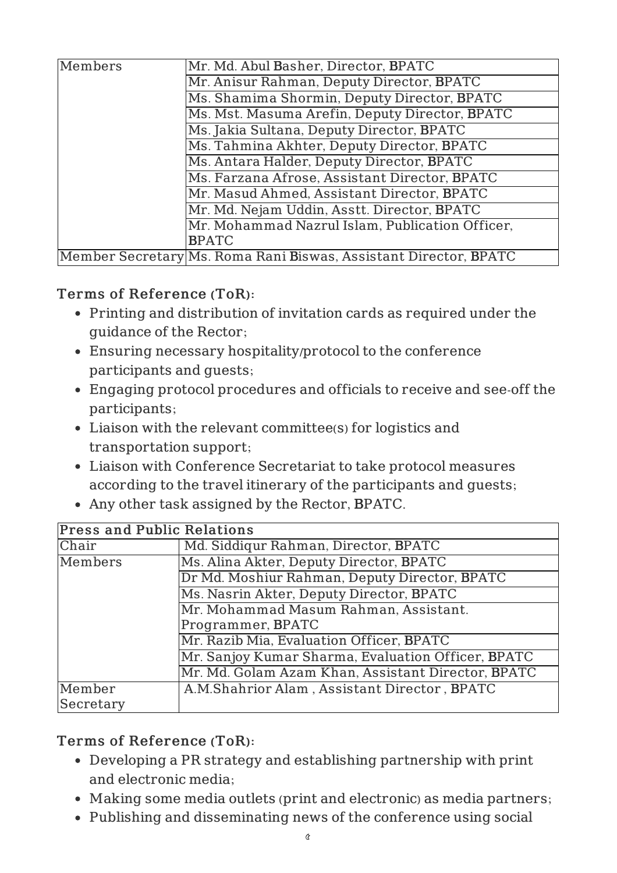| Members | Mr. Md. Abul Basher, Director, BPATC                             |
|---------|------------------------------------------------------------------|
|         | Mr. Anisur Rahman, Deputy Director, BPATC                        |
|         | Ms. Shamima Shormin, Deputy Director, BPATC                      |
|         | Ms. Mst. Masuma Arefin, Deputy Director, BPATC                   |
|         | Ms. Jakia Sultana, Deputy Director, BPATC                        |
|         | Ms. Tahmina Akhter, Deputy Director, BPATC                       |
|         | Ms. Antara Halder, Deputy Director, BPATC                        |
|         | Ms. Farzana Afrose, Assistant Director, BPATC                    |
|         | Mr. Masud Ahmed, Assistant Director, BPATC                       |
|         | Mr. Md. Nejam Uddin, Asstt. Director, BPATC                      |
|         | Mr. Mohammad Nazrul Islam, Publication Officer,                  |
|         | <b>BPATC</b>                                                     |
|         | Member Secretary Ms. Roma Rani Biswas, Assistant Director, BPATC |

- Printing and distribution of invitation cards as required under the guidance of the Rector;
- Ensuring necessary hospitality/protocol to the conference participants and guests;
- Engaging protocol procedures and officials to receive and see-off the participants;
- Liaison with the relevant committee(s) for logistics and transportation support;
- Liaison with Conference Secretariat to take protocol measures according to the travel itinerary of the participants and guests;
- Any other task assigned by the Rector, BPATC.

| <b>Press and Public Relations</b>                  |                                                    |  |
|----------------------------------------------------|----------------------------------------------------|--|
| Chair                                              | Md. Siddiqur Rahman, Director, BPATC               |  |
| Ms. Alina Akter, Deputy Director, BPATC<br>Members |                                                    |  |
|                                                    | Dr Md. Moshiur Rahman, Deputy Director, BPATC      |  |
|                                                    | Ms. Nasrin Akter, Deputy Director, BPATC           |  |
|                                                    | Mr. Mohammad Masum Rahman, Assistant.              |  |
| Programmer, BPATC                                  |                                                    |  |
|                                                    | Mr. Razib Mia, Evaluation Officer, BPATC           |  |
|                                                    | Mr. Sanjoy Kumar Sharma, Evaluation Officer, BPATC |  |
|                                                    | Mr. Md. Golam Azam Khan, Assistant Director, BPATC |  |
| Member                                             | A.M.Shahrior Alam, Assistant Director, BPATC       |  |
| Secretary                                          |                                                    |  |

# Terms of Reference (ToR):

- Developing a PR strategy and establishing partnership with print and electronic media;
- Making some media outlets (print and electronic) as media partners;
- Publishing and disseminating news of the conference using social